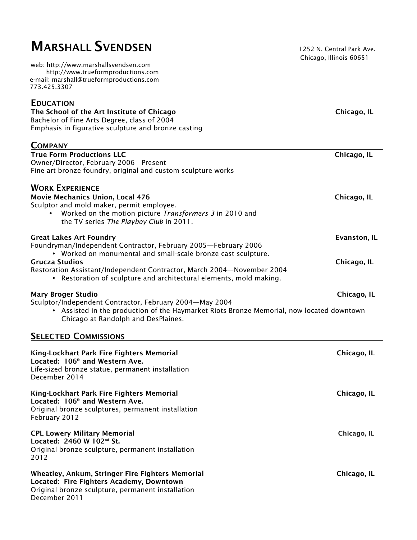# **MARSHALL SVENDSEN** 1252 N. Central Park Ave.

web: http://www.marshallsvendsen.com http://www.trueformproductions.com e-mail: marshall@trueformproductions.com 773.425.3307

## EDUCATION<br>The School of the Art Institute of Chicago

| The School of the Art Institute of Chicago                                                | Chicago, IL  |
|-------------------------------------------------------------------------------------------|--------------|
| Bachelor of Fine Arts Degree, class of 2004                                               |              |
| Emphasis in figurative sculpture and bronze casting                                       |              |
|                                                                                           |              |
| <b>COMPANY</b>                                                                            |              |
| <b>True Form Productions LLC</b>                                                          | Chicago, IL  |
| Owner/Director, February 2006-Present                                                     |              |
| Fine art bronze foundry, original and custom sculpture works                              |              |
|                                                                                           |              |
| <b>WORK EXPERIENCE</b>                                                                    |              |
| <b>Movie Mechanics Union, Local 476</b>                                                   | Chicago, IL  |
| Sculptor and mold maker, permit employee.                                                 |              |
| • Worked on the motion picture Transformers 3 in 2010 and                                 |              |
| the TV series The Playboy Club in 2011.                                                   |              |
|                                                                                           |              |
| <b>Great Lakes Art Foundry</b>                                                            | Evanston, IL |
| Foundryman/Independent Contractor, February 2005-February 2006                            |              |
| • Worked on monumental and small-scale bronze cast sculpture.                             |              |
|                                                                                           |              |
| <b>Grucza Studios</b>                                                                     | Chicago, IL  |
| Restoration Assistant/Independent Contractor, March 2004-November 2004                    |              |
| • Restoration of sculpture and architectural elements, mold making.                       |              |
|                                                                                           |              |
| <b>Mary Broger Studio</b>                                                                 | Chicago, IL  |
| Sculptor/Independent Contractor, February 2004-May 2004                                   |              |
| • Assisted in the production of the Haymarket Riots Bronze Memorial, now located downtown |              |
| Chicago at Randolph and DesPlaines.                                                       |              |
|                                                                                           |              |
| <b>SELECTED COMMISSIONS</b>                                                               |              |
|                                                                                           |              |
| King-Lockhart Park Fire Fighters Memorial                                                 | Chicago, IL  |
| Located: 106 <sup>th</sup> and Western Ave.                                               |              |
| Life-sized bronze statue, permanent installation                                          |              |
| December 2014                                                                             |              |
|                                                                                           |              |
| King-Lockhart Park Fire Fighters Memorial                                                 | Chicago, IL  |
| Located: 106 <sup>th</sup> and Western Ave.                                               |              |
|                                                                                           |              |
| Original bronze sculptures, permanent installation                                        |              |
| February 2012                                                                             |              |
|                                                                                           |              |
| <b>CPL Lowery Military Memorial</b>                                                       | Chicago, IL  |
| Located: 2460 W 102 <sup>nd</sup> St.                                                     |              |
| Original bronze sculpture, permanent installation                                         |              |
| 2012                                                                                      |              |
|                                                                                           |              |
| Wheatley, Ankum, Stringer Fire Fighters Memorial                                          | Chicago, IL  |
| Located: Fire Fighters Academy, Downtown                                                  |              |
| Original bronze sculpture, permanent installation                                         |              |
| December 2011                                                                             |              |

Chicago, Illinois 60651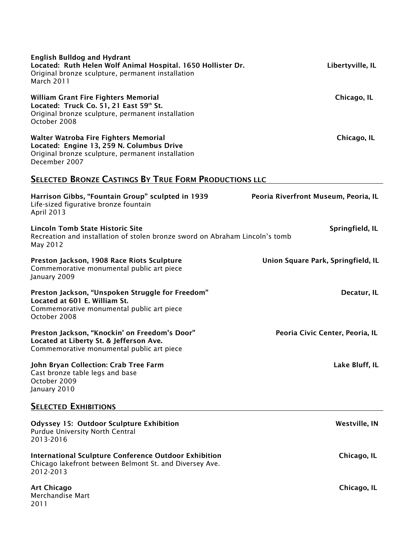| <b>English Bulldog and Hydrant</b><br>Located: Ruth Helen Wolf Animal Hospital. 1650 Hollister Dr.<br>Original bronze sculpture, permanent installation<br><b>March 2011</b> | Libertyville, IL                     |
|------------------------------------------------------------------------------------------------------------------------------------------------------------------------------|--------------------------------------|
| <b>William Grant Fire Fighters Memorial</b><br>Located: Truck Co. 51, 21 East 59th St.<br>Original bronze sculpture, permanent installation<br>October 2008                  | Chicago, IL                          |
| Walter Watroba Fire Fighters Memorial<br>Located: Engine 13, 259 N. Columbus Drive<br>Original bronze sculpture, permanent installation<br>December 2007                     | Chicago, IL                          |
| <b>SELECTED BRONZE CASTINGS BY TRUE FORM PRODUCTIONS LLC</b>                                                                                                                 |                                      |
| Harrison Gibbs, "Fountain Group" sculpted in 1939<br>Life-sized figurative bronze fountain<br><b>April 2013</b>                                                              | Peoria Riverfront Museum, Peoria, IL |
| <b>Lincoln Tomb State Historic Site</b><br>Recreation and installation of stolen bronze sword on Abraham Lincoln's tomb<br>May 2012                                          | Springfield, IL                      |
| Preston Jackson, 1908 Race Riots Sculpture<br>Commemorative monumental public art piece<br>January 2009                                                                      | Union Square Park, Springfield, IL   |
| Preston Jackson, "Unspoken Struggle for Freedom"<br>Located at 601 E. William St.<br>Commemorative monumental public art piece<br>October 2008                               | Decatur, IL                          |
| Preston Jackson, "Knockin' on Freedom's Door"<br>Located at Liberty St. & Jefferson Ave.<br>Commemorative monumental public art piece                                        | Peoria Civic Center, Peoria, IL      |
| John Bryan Collection: Crab Tree Farm<br>Cast bronze table legs and base<br>October 2009<br>January 2010                                                                     | Lake Bluff, IL                       |
| <b>SELECTED EXHIBITIONS</b>                                                                                                                                                  |                                      |
| <b>Odyssey 15: Outdoor Sculpture Exhibition</b><br>Purdue University North Central<br>2013-2016                                                                              | <b>Westville, IN</b>                 |
| <b>International Sculpture Conference Outdoor Exhibition</b><br>Chicago lakefront between Belmont St. and Diversey Ave.<br>2012-2013                                         | Chicago, IL                          |
| <b>Art Chicago</b><br>Merchandise Mart<br>2011                                                                                                                               | Chicago, IL                          |